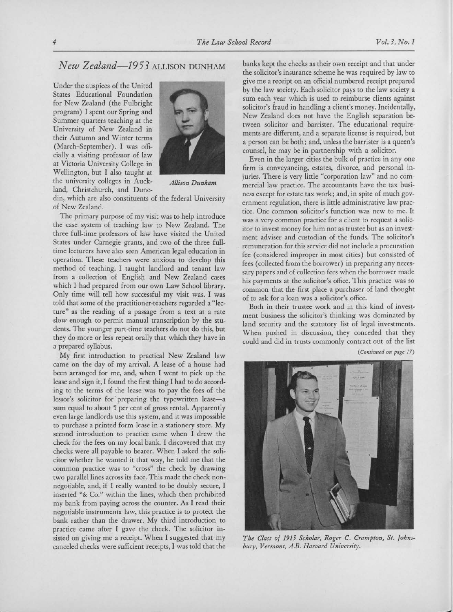## New Zealand-1953 ALLISON DUNHAM

Under the auspices of the United States Educational Foundation for New Zealand (the Fulbright program) I spent our Spring and Summer quarters teaching at the University of New Zealand in their Autumn and Winter terms (March-September). I was officially <sup>a</sup> visiting professor of law at Victoria University College in Wellington, but I also taught at the university colleges in Auck- Allison Dunham land, Christchurch, and Dune-



din, which are also constituents of the federal University of New Zealand.

The primary purpose of my visit was to help introduce the case system of teaching law to New Zealand. The three full-time professors of law have visited the United States under Carnegie grants, and two of the three fulltime lecturers have also seen American legal education in operation. These teachers were anxious to develop this method of teaching. I taught landlord and tenant law from <sup>a</sup> collection of English and New Zealand cases which I had prepared from our own Law School library. Only time will tell how successful my visit was. I was told that some of the practitioner-teachers regarded <sup>a</sup> "lecture" as the reading of <sup>a</sup> passage from <sup>a</sup> text at <sup>a</sup> rate slow enough to permit manual transcription by the students. The younger part-time teachers do not do this, but they do more or less repeat orally that which they have in a prepared syllabus.

My first introduction to practical New Zealand law came on the day of my arrival. A lease of <sup>a</sup> house had been arranged for me, and, when I went to pick up the lease and sign it, I found the first thing I had to do according to the terms of the lease was to pay the fees of the lessor's solicitor for preparing the typewritten lease-a sum equal to about <sup>5</sup> per cent of gross rental. Apparently even large landlords use this system, and it was impossible to purchase <sup>a</sup> printed form lease in <sup>a</sup> stationery store. My second introduction to practice came when I drew the check for the fees on my local bank. I discovered that my checks were all payable to bearer. When I asked the solicitor whether he wanted it that way, he told me that the common practice was to "cross" the check by drawing two parallel lines across its face. This made the check nonnegotiable, and, if I really wanted to be doubly secure, I inserted "& Co." within the lines, which then prohibited my bank from paying across the counter. As I read their negotiable instruments law, this practice is to protect the bank rather than the drawer. My third introduction to practice came after I gave the check. The solicitor insisted on giving me <sup>a</sup> receipt. When I suggested that my canceled checks were sufficient receipts, I was told that the banks kept the checks as their own receipt and that under the solicitor's insurance scheme he was required by law to give me a receipt on an official numbered receipt prepared<br>he the last of Each additional to the last of the second by the law society. Each solicitor pays to the law society a sum each year which is used to reimburse clients against solicitor's fraud in handling <sup>a</sup> client's money. Incidentally, New Zealand does not have the English separation between solicitor and barrister. The educational requirements are different, and <sup>a</sup> separate license is required, but a person can be both; and, unless the barrister is <sup>a</sup> queen's counsel, he may be in partnership with <sup>a</sup> solicitor.

Even in the larger cities the bulk of practice in anyone firm is conveyancing, estates, divorce, and personal injuries. There is very little "corporation law" and no commercial law practice. The accountants have the tax business except for estate tax work; and, in spite of much government regulation, there is little administrative law practice. One common solicitor's function was new to me. It was a very common practice for <sup>a</sup> client to request <sup>a</sup> solicitor to invest money for him not as trustee but as an investment adviser and custodian of the funds. The solicitor's remuneration for this service did not include <sup>a</sup> procuration fee (considered improper in most cities) but consisted of fees (collected from the borrower) in preparing any necessary papers and of collection fees when the borrower made his payments at the solicitor's office. This practice was so common that the first place <sup>a</sup> purchaser of land thought of to ask for a loan was a solicitor's office.

Both in their trustee work and in this kind of investment business the solicitor's thinking was dominated by land security and the statutory list of legal investments. When pushed in discussion, they conceded that they could and did in trusts commonly contract out of the list

(Continued on page 17)



The Class of 1915 Scholar, Roger C. Crampton, St. Johnsbury, Vermont, A.B. Harvard University.